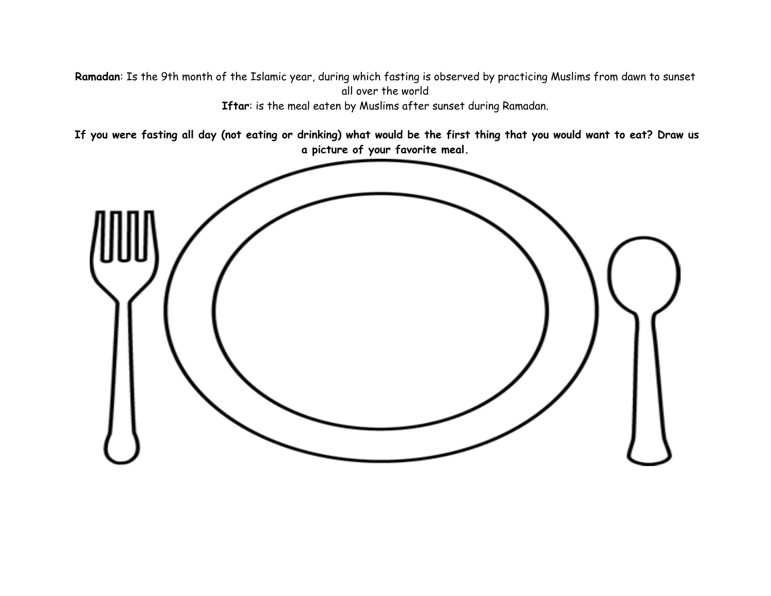**Ramadan**: Is the 9th month of the Islamic year, during which fasting is observed by practicing Muslims from dawn to sunset all over the world **Iftar**: is the meal eaten by Muslims after sunset during Ramadan.

If you were fasting all day (not eating or drinking) what would be the first thing that you would want to eat? Draw us **a picture of your favorite meal.**